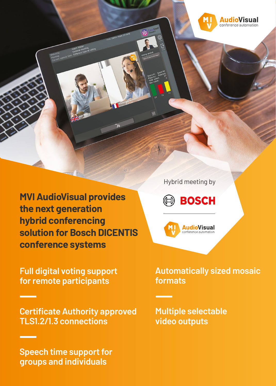

**MVI AudioVisual provides the next generation hybrid conferencing solution for Bosch DICENTIS conference systems**

**Full digital voting support for remote participants**

**Certificate Authority approved TLS1.2/1.3 connections**

**Speech time support for groups and individuals**

Hybrid meeting by





## **Automatically sized mosaic formats**

**Multiple selectable video outputs**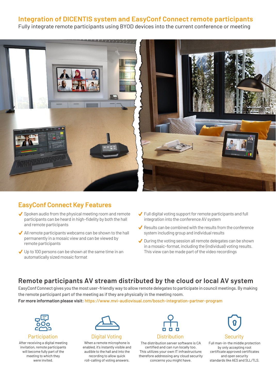### **Integration of DICENTIS system and EasyConf Connect remote participants**

Fully integrate remote participants using BYOD devices into the current conference or meeting



### **EasyConf Connect Key Features**

- $\checkmark$  Spoken audio from the physical meeting room and remote participants can be heard in high-fidelity by both the hall and remote participants
- $\blacktriangleright$  All remote participants webcams can be shown to the hall permanently in a mosaic view and can be viewed by remote participants
- $\bigvee$  Up to 100 persons can be shown at the same time in an automatically sized mosaic format
- $\checkmark$  Full digital voting support for remote participants and full integration into the conference AV system
- $\blacktriangledown$  Results can be combined with the results from the conference system including group and individual results
- $\sqrt{\phantom{a}}$  During the voting session all remote delegates can be shown in a mosaic-format, including the (individual) voting results. This view can be made part of the video recordings

#### **Remote participants AV stream distributed by the cloud or local AV system**

EasyConf Connect gives you the most user-friendly way to allow remote delegates to participate in council meetings. By making the remote participant part of the meeting as if they are physically in the meeting room.

**For more information please visit:** https://www.mvi-audiovisual.com/bosch-integration-partner-program



Participation

After receiving a digital meeting invitation, remote participants will become fully part of the meeting to which they were invited.



Digital Voting

When a remote microphone is enabled, it's instantly visible and audible to the hall and into the recording to allow quick roll-calling of voting answers.



The distribution server software is CA certified and can run locally too. This utilizes your own IT infrastructure; therefore addressing any cloud security concerns you might have.



Full man-in-the middle protection by only accepting root certificate approved certificates and open security standards like AES and SLL/TLS.